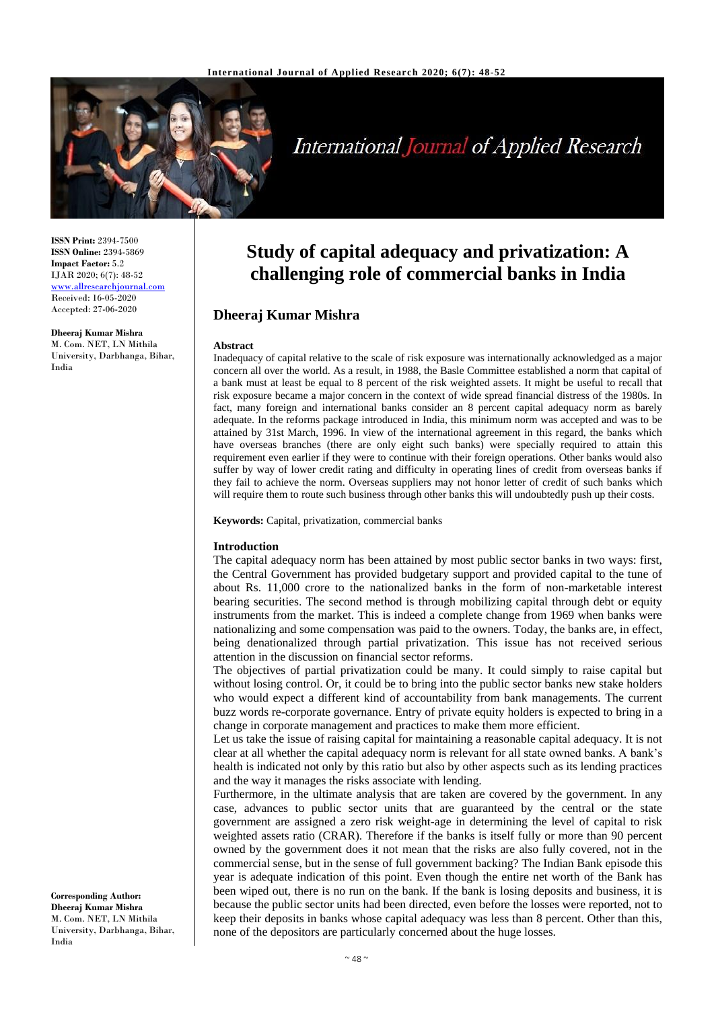

# **International Journal of Applied Research**

**ISSN Print:** 2394-7500 **ISSN Online:** 2394-5869 **Impact Factor:** 5.2 IJAR 2020; 6(7): 48-52 [www.allresearchjournal.com](http://www.allresearchjournal.com/) Received: 16-05-2020 Accepted: 27-06-2020

**Dheeraj Kumar Mishra** M. Com. NET, LN Mithila University, Darbhanga, Bihar, India

# **Study of capital adequacy and privatization: A challenging role of commercial banks in India**

## **Dheeraj Kumar Mishra**

#### **Abstract**

Inadequacy of capital relative to the scale of risk exposure was internationally acknowledged as a major concern all over the world. As a result, in 1988, the Basle Committee established a norm that capital of a bank must at least be equal to 8 percent of the risk weighted assets. It might be useful to recall that risk exposure became a major concern in the context of wide spread financial distress of the 1980s. In fact, many foreign and international banks consider an 8 percent capital adequacy norm as barely adequate. In the reforms package introduced in India, this minimum norm was accepted and was to be attained by 31st March, 1996. In view of the international agreement in this regard, the banks which have overseas branches (there are only eight such banks) were specially required to attain this requirement even earlier if they were to continue with their foreign operations. Other banks would also suffer by way of lower credit rating and difficulty in operating lines of credit from overseas banks if they fail to achieve the norm. Overseas suppliers may not honor letter of credit of such banks which will require them to route such business through other banks this will undoubtedly push up their costs.

**Keywords:** Capital, privatization, commercial banks

#### **Introduction**

The capital adequacy norm has been attained by most public sector banks in two ways: first, the Central Government has provided budgetary support and provided capital to the tune of about Rs. 11,000 crore to the nationalized banks in the form of non-marketable interest bearing securities. The second method is through mobilizing capital through debt or equity instruments from the market. This is indeed a complete change from 1969 when banks were nationalizing and some compensation was paid to the owners. Today, the banks are, in effect, being denationalized through partial privatization. This issue has not received serious attention in the discussion on financial sector reforms.

The objectives of partial privatization could be many. It could simply to raise capital but without losing control. Or, it could be to bring into the public sector banks new stake holders who would expect a different kind of accountability from bank managements. The current buzz words re-corporate governance. Entry of private equity holders is expected to bring in a change in corporate management and practices to make them more efficient.

Let us take the issue of raising capital for maintaining a reasonable capital adequacy. It is not clear at all whether the capital adequacy norm is relevant for all state owned banks. A bank's health is indicated not only by this ratio but also by other aspects such as its lending practices and the way it manages the risks associate with lending.

Furthermore, in the ultimate analysis that are taken are covered by the government. In any case, advances to public sector units that are guaranteed by the central or the state government are assigned a zero risk weight-age in determining the level of capital to risk weighted assets ratio (CRAR). Therefore if the banks is itself fully or more than 90 percent owned by the government does it not mean that the risks are also fully covered, not in the commercial sense, but in the sense of full government backing? The Indian Bank episode this year is adequate indication of this point. Even though the entire net worth of the Bank has been wiped out, there is no run on the bank. If the bank is losing deposits and business, it is because the public sector units had been directed, even before the losses were reported, not to keep their deposits in banks whose capital adequacy was less than 8 percent. Other than this, none of the depositors are particularly concerned about the huge losses.

**Corresponding Author: Dheeraj Kumar Mishra** M. Com. NET, LN Mithila University, Darbhanga, Bihar, India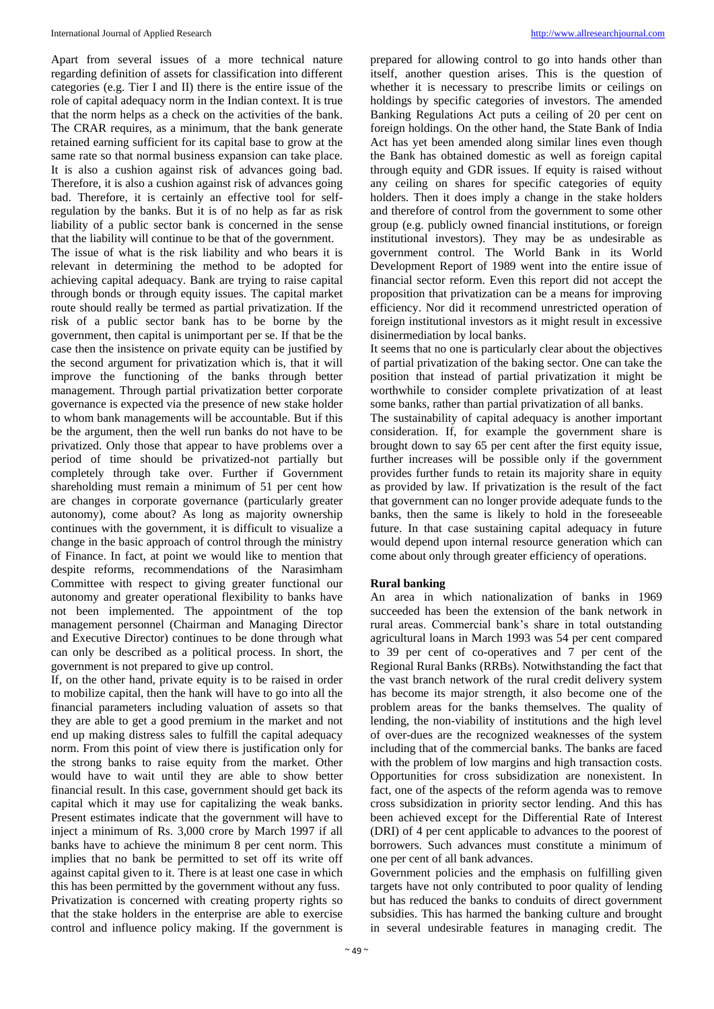Apart from several issues of a more technical nature regarding definition of assets for classification into different categories (e.g. Tier I and II) there is the entire issue of the role of capital adequacy norm in the Indian context. It is true that the norm helps as a check on the activities of the bank. The CRAR requires, as a minimum, that the bank generate retained earning sufficient for its capital base to grow at the same rate so that normal business expansion can take place. It is also a cushion against risk of advances going bad. Therefore, it is also a cushion against risk of advances going bad. Therefore, it is certainly an effective tool for selfregulation by the banks. But it is of no help as far as risk liability of a public sector bank is concerned in the sense that the liability will continue to be that of the government. The issue of what is the risk liability and who bears it is relevant in determining the method to be adopted for achieving capital adequacy. Bank are trying to raise capital through bonds or through equity issues. The capital market route should really be termed as partial privatization. If the risk of a public sector bank has to be borne by the government, then capital is unimportant per se. If that be the case then the insistence on private equity can be justified by the second argument for privatization which is, that it will improve the functioning of the banks through better management. Through partial privatization better corporate governance is expected via the presence of new stake holder to whom bank managements will be accountable. But if this be the argument, then the well run banks do not have to be privatized. Only those that appear to have problems over a period of time should be privatized-not partially but completely through take over. Further if Government shareholding must remain a minimum of 51 per cent how are changes in corporate governance (particularly greater autonomy), come about? As long as majority ownership continues with the government, it is difficult to visualize a change in the basic approach of control through the ministry of Finance. In fact, at point we would like to mention that despite reforms, recommendations of the Narasimham Committee with respect to giving greater functional our autonomy and greater operational flexibility to banks have not been implemented. The appointment of the top

management personnel (Chairman and Managing Director and Executive Director) continues to be done through what can only be described as a political process. In short, the government is not prepared to give up control.

If, on the other hand, private equity is to be raised in order to mobilize capital, then the hank will have to go into all the financial parameters including valuation of assets so that they are able to get a good premium in the market and not end up making distress sales to fulfill the capital adequacy norm. From this point of view there is justification only for the strong banks to raise equity from the market. Other would have to wait until they are able to show better financial result. In this case, government should get back its capital which it may use for capitalizing the weak banks. Present estimates indicate that the government will have to inject a minimum of Rs. 3,000 crore by March 1997 if all banks have to achieve the minimum 8 per cent norm. This implies that no bank be permitted to set off its write off against capital given to it. There is at least one case in which this has been permitted by the government without any fuss. Privatization is concerned with creating property rights so that the stake holders in the enterprise are able to exercise control and influence policy making. If the government is

prepared for allowing control to go into hands other than itself, another question arises. This is the question of whether it is necessary to prescribe limits or ceilings on holdings by specific categories of investors. The amended Banking Regulations Act puts a ceiling of 20 per cent on foreign holdings. On the other hand, the State Bank of India Act has yet been amended along similar lines even though the Bank has obtained domestic as well as foreign capital through equity and GDR issues. If equity is raised without any ceiling on shares for specific categories of equity holders. Then it does imply a change in the stake holders and therefore of control from the government to some other group (e.g. publicly owned financial institutions, or foreign institutional investors). They may be as undesirable as government control. The World Bank in its World Development Report of 1989 went into the entire issue of financial sector reform. Even this report did not accept the proposition that privatization can be a means for improving efficiency. Nor did it recommend unrestricted operation of foreign institutional investors as it might result in excessive disinermediation by local banks.

It seems that no one is particularly clear about the objectives of partial privatization of the baking sector. One can take the position that instead of partial privatization it might be worthwhile to consider complete privatization of at least some banks, rather than partial privatization of all banks.

The sustainability of capital adequacy is another important consideration. If, for example the government share is brought down to say 65 per cent after the first equity issue, further increases will be possible only if the government provides further funds to retain its majority share in equity as provided by law. If privatization is the result of the fact that government can no longer provide adequate funds to the banks, then the same is likely to hold in the foreseeable future. In that case sustaining capital adequacy in future would depend upon internal resource generation which can come about only through greater efficiency of operations.

#### **Rural banking**

An area in which nationalization of banks in 1969 succeeded has been the extension of the bank network in rural areas. Commercial bank's share in total outstanding agricultural loans in March 1993 was 54 per cent compared to 39 per cent of co-operatives and 7 per cent of the Regional Rural Banks (RRBs). Notwithstanding the fact that the vast branch network of the rural credit delivery system has become its major strength, it also become one of the problem areas for the banks themselves. The quality of lending, the non-viability of institutions and the high level of over-dues are the recognized weaknesses of the system including that of the commercial banks. The banks are faced with the problem of low margins and high transaction costs. Opportunities for cross subsidization are nonexistent. In fact, one of the aspects of the reform agenda was to remove cross subsidization in priority sector lending. And this has been achieved except for the Differential Rate of Interest (DRI) of 4 per cent applicable to advances to the poorest of borrowers. Such advances must constitute a minimum of one per cent of all bank advances.

Government policies and the emphasis on fulfilling given targets have not only contributed to poor quality of lending but has reduced the banks to conduits of direct government subsidies. This has harmed the banking culture and brought in several undesirable features in managing credit. The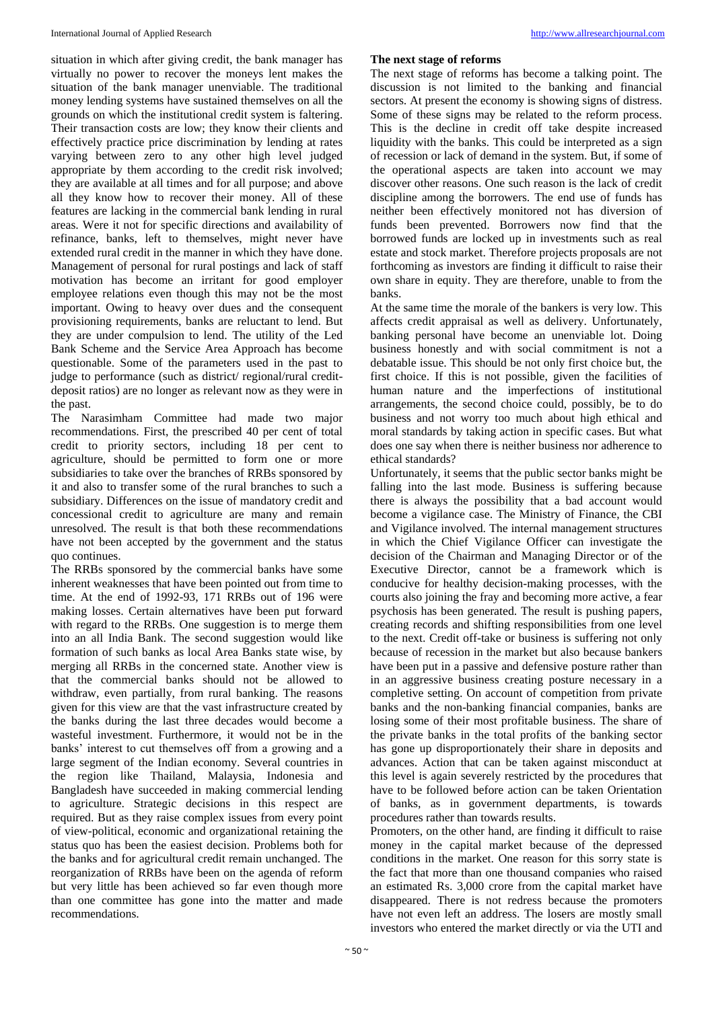situation in which after giving credit, the bank manager has virtually no power to recover the moneys lent makes the situation of the bank manager unenviable. The traditional money lending systems have sustained themselves on all the grounds on which the institutional credit system is faltering. Their transaction costs are low; they know their clients and effectively practice price discrimination by lending at rates varying between zero to any other high level judged appropriate by them according to the credit risk involved; they are available at all times and for all purpose; and above all they know how to recover their money. All of these features are lacking in the commercial bank lending in rural areas. Were it not for specific directions and availability of refinance, banks, left to themselves, might never have extended rural credit in the manner in which they have done. Management of personal for rural postings and lack of staff motivation has become an irritant for good employer employee relations even though this may not be the most important. Owing to heavy over dues and the consequent provisioning requirements, banks are reluctant to lend. But they are under compulsion to lend. The utility of the Led Bank Scheme and the Service Area Approach has become questionable. Some of the parameters used in the past to judge to performance (such as district/ regional/rural creditdeposit ratios) are no longer as relevant now as they were in the past.

The Narasimham Committee had made two major recommendations. First, the prescribed 40 per cent of total credit to priority sectors, including 18 per cent to agriculture, should be permitted to form one or more subsidiaries to take over the branches of RRBs sponsored by it and also to transfer some of the rural branches to such a subsidiary. Differences on the issue of mandatory credit and concessional credit to agriculture are many and remain unresolved. The result is that both these recommendations have not been accepted by the government and the status quo continues.

The RRBs sponsored by the commercial banks have some inherent weaknesses that have been pointed out from time to time. At the end of 1992-93, 171 RRBs out of 196 were making losses. Certain alternatives have been put forward with regard to the RRBs. One suggestion is to merge them into an all India Bank. The second suggestion would like formation of such banks as local Area Banks state wise, by merging all RRBs in the concerned state. Another view is that the commercial banks should not be allowed to withdraw, even partially, from rural banking. The reasons given for this view are that the vast infrastructure created by the banks during the last three decades would become a wasteful investment. Furthermore, it would not be in the banks' interest to cut themselves off from a growing and a large segment of the Indian economy. Several countries in the region like Thailand, Malaysia, Indonesia and Bangladesh have succeeded in making commercial lending to agriculture. Strategic decisions in this respect are required. But as they raise complex issues from every point of view-political, economic and organizational retaining the status quo has been the easiest decision. Problems both for the banks and for agricultural credit remain unchanged. The reorganization of RRBs have been on the agenda of reform but very little has been achieved so far even though more than one committee has gone into the matter and made recommendations.

#### **The next stage of reforms**

The next stage of reforms has become a talking point. The discussion is not limited to the banking and financial sectors. At present the economy is showing signs of distress. Some of these signs may be related to the reform process. This is the decline in credit off take despite increased liquidity with the banks. This could be interpreted as a sign of recession or lack of demand in the system. But, if some of the operational aspects are taken into account we may discover other reasons. One such reason is the lack of credit discipline among the borrowers. The end use of funds has neither been effectively monitored not has diversion of funds been prevented. Borrowers now find that the borrowed funds are locked up in investments such as real estate and stock market. Therefore projects proposals are not forthcoming as investors are finding it difficult to raise their own share in equity. They are therefore, unable to from the banks.

At the same time the morale of the bankers is very low. This affects credit appraisal as well as delivery. Unfortunately, banking personal have become an unenviable lot. Doing business honestly and with social commitment is not a debatable issue. This should be not only first choice but, the first choice. If this is not possible, given the facilities of human nature and the imperfections of institutional arrangements, the second choice could, possibly, be to do business and not worry too much about high ethical and moral standards by taking action in specific cases. But what does one say when there is neither business nor adherence to ethical standards?

Unfortunately, it seems that the public sector banks might be falling into the last mode. Business is suffering because there is always the possibility that a bad account would become a vigilance case. The Ministry of Finance, the CBI and Vigilance involved. The internal management structures in which the Chief Vigilance Officer can investigate the decision of the Chairman and Managing Director or of the Executive Director, cannot be a framework which is conducive for healthy decision-making processes, with the courts also joining the fray and becoming more active, a fear psychosis has been generated. The result is pushing papers, creating records and shifting responsibilities from one level to the next. Credit off-take or business is suffering not only because of recession in the market but also because bankers have been put in a passive and defensive posture rather than in an aggressive business creating posture necessary in a completive setting. On account of competition from private banks and the non-banking financial companies, banks are losing some of their most profitable business. The share of the private banks in the total profits of the banking sector has gone up disproportionately their share in deposits and advances. Action that can be taken against misconduct at this level is again severely restricted by the procedures that have to be followed before action can be taken Orientation of banks, as in government departments, is towards procedures rather than towards results.

Promoters, on the other hand, are finding it difficult to raise money in the capital market because of the depressed conditions in the market. One reason for this sorry state is the fact that more than one thousand companies who raised an estimated Rs. 3,000 crore from the capital market have disappeared. There is not redress because the promoters have not even left an address. The losers are mostly small investors who entered the market directly or via the UTI and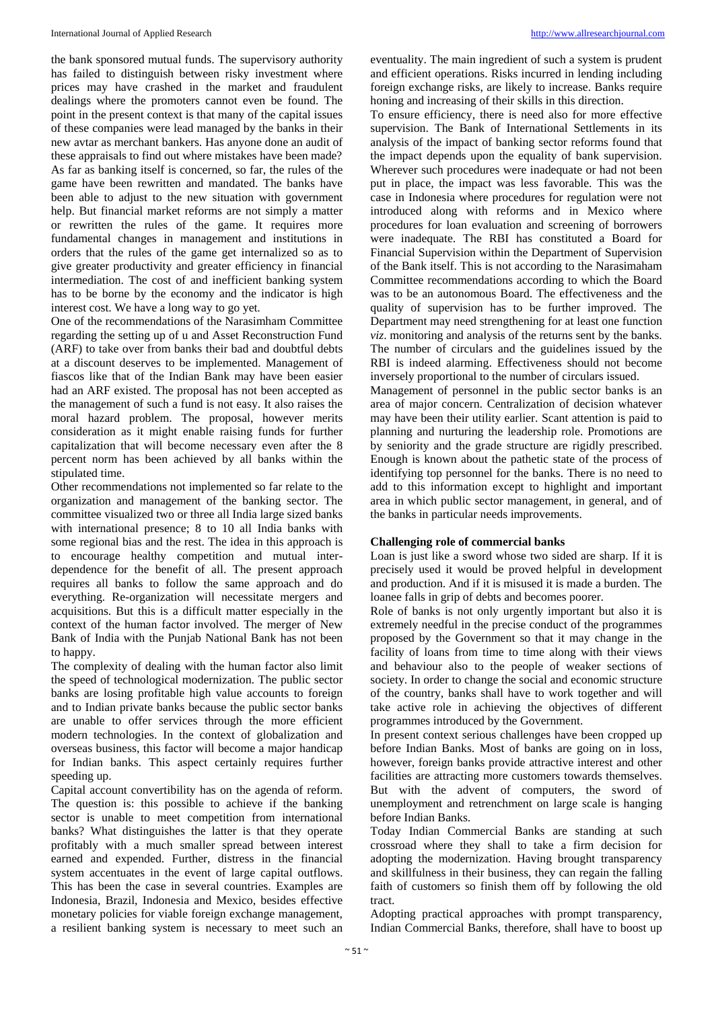the bank sponsored mutual funds. The supervisory authority has failed to distinguish between risky investment where prices may have crashed in the market and fraudulent dealings where the promoters cannot even be found. The point in the present context is that many of the capital issues of these companies were lead managed by the banks in their new avtar as merchant bankers. Has anyone done an audit of these appraisals to find out where mistakes have been made? As far as banking itself is concerned, so far, the rules of the game have been rewritten and mandated. The banks have been able to adjust to the new situation with government help. But financial market reforms are not simply a matter or rewritten the rules of the game. It requires more fundamental changes in management and institutions in orders that the rules of the game get internalized so as to give greater productivity and greater efficiency in financial intermediation. The cost of and inefficient banking system has to be borne by the economy and the indicator is high interest cost. We have a long way to go yet.

One of the recommendations of the Narasimham Committee regarding the setting up of u and Asset Reconstruction Fund (ARF) to take over from banks their bad and doubtful debts at a discount deserves to be implemented. Management of fiascos like that of the Indian Bank may have been easier had an ARF existed. The proposal has not been accepted as the management of such a fund is not easy. It also raises the moral hazard problem. The proposal, however merits consideration as it might enable raising funds for further capitalization that will become necessary even after the 8 percent norm has been achieved by all banks within the stipulated time.

Other recommendations not implemented so far relate to the organization and management of the banking sector. The committee visualized two or three all India large sized banks with international presence; 8 to 10 all India banks with some regional bias and the rest. The idea in this approach is to encourage healthy competition and mutual interdependence for the benefit of all. The present approach requires all banks to follow the same approach and do everything. Re-organization will necessitate mergers and acquisitions. But this is a difficult matter especially in the context of the human factor involved. The merger of New Bank of India with the Punjab National Bank has not been to happy.

The complexity of dealing with the human factor also limit the speed of technological modernization. The public sector banks are losing profitable high value accounts to foreign and to Indian private banks because the public sector banks are unable to offer services through the more efficient modern technologies. In the context of globalization and overseas business, this factor will become a major handicap for Indian banks. This aspect certainly requires further speeding up.

Capital account convertibility has on the agenda of reform. The question is: this possible to achieve if the banking sector is unable to meet competition from international banks? What distinguishes the latter is that they operate profitably with a much smaller spread between interest earned and expended. Further, distress in the financial system accentuates in the event of large capital outflows. This has been the case in several countries. Examples are Indonesia, Brazil, Indonesia and Mexico, besides effective monetary policies for viable foreign exchange management, a resilient banking system is necessary to meet such an

eventuality. The main ingredient of such a system is prudent and efficient operations. Risks incurred in lending including foreign exchange risks, are likely to increase. Banks require honing and increasing of their skills in this direction.

To ensure efficiency, there is need also for more effective supervision. The Bank of International Settlements in its analysis of the impact of banking sector reforms found that the impact depends upon the equality of bank supervision. Wherever such procedures were inadequate or had not been put in place, the impact was less favorable. This was the case in Indonesia where procedures for regulation were not introduced along with reforms and in Mexico where procedures for loan evaluation and screening of borrowers were inadequate. The RBI has constituted a Board for Financial Supervision within the Department of Supervision of the Bank itself. This is not according to the Narasimaham Committee recommendations according to which the Board was to be an autonomous Board. The effectiveness and the quality of supervision has to be further improved. The Department may need strengthening for at least one function *viz*. monitoring and analysis of the returns sent by the banks. The number of circulars and the guidelines issued by the RBI is indeed alarming. Effectiveness should not become inversely proportional to the number of circulars issued.

Management of personnel in the public sector banks is an area of major concern. Centralization of decision whatever may have been their utility earlier. Scant attention is paid to planning and nurturing the leadership role. Promotions are by seniority and the grade structure are rigidly prescribed. Enough is known about the pathetic state of the process of identifying top personnel for the banks. There is no need to add to this information except to highlight and important area in which public sector management, in general, and of the banks in particular needs improvements.

#### **Challenging role of commercial banks**

Loan is just like a sword whose two sided are sharp. If it is precisely used it would be proved helpful in development and production. And if it is misused it is made a burden. The loanee falls in grip of debts and becomes poorer.

Role of banks is not only urgently important but also it is extremely needful in the precise conduct of the programmes proposed by the Government so that it may change in the facility of loans from time to time along with their views and behaviour also to the people of weaker sections of society. In order to change the social and economic structure of the country, banks shall have to work together and will take active role in achieving the objectives of different programmes introduced by the Government.

In present context serious challenges have been cropped up before Indian Banks. Most of banks are going on in loss, however, foreign banks provide attractive interest and other facilities are attracting more customers towards themselves. But with the advent of computers, the sword of unemployment and retrenchment on large scale is hanging before Indian Banks.

Today Indian Commercial Banks are standing at such crossroad where they shall to take a firm decision for adopting the modernization. Having brought transparency and skillfulness in their business, they can regain the falling faith of customers so finish them off by following the old tract.

Adopting practical approaches with prompt transparency, Indian Commercial Banks, therefore, shall have to boost up